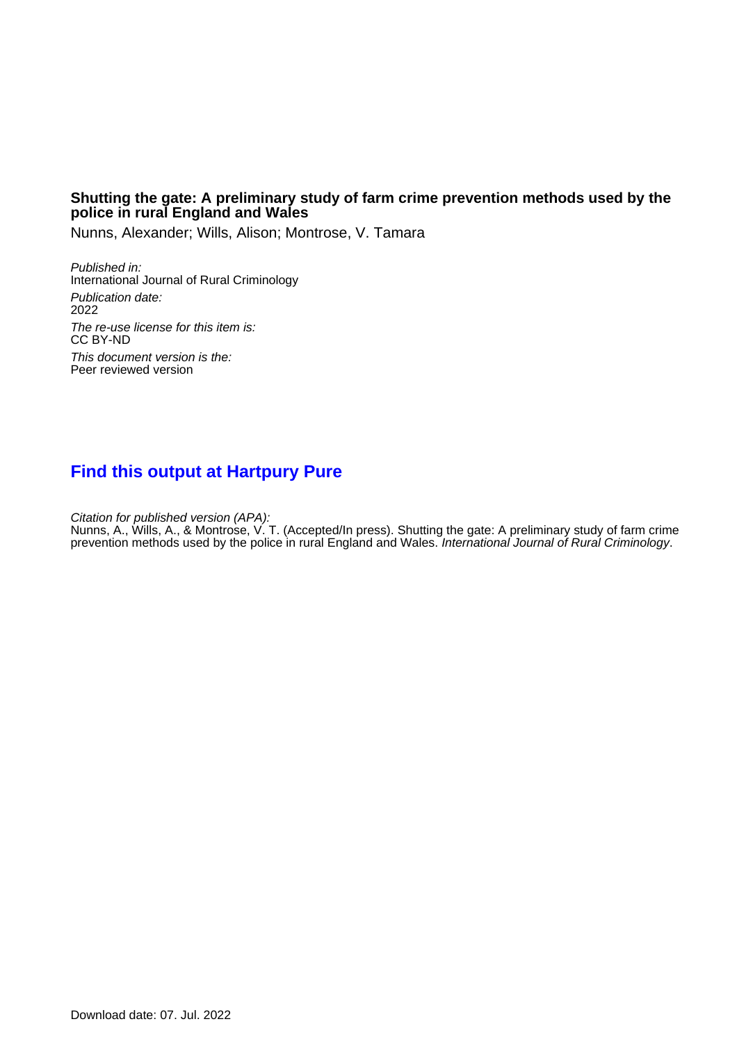### **Shutting the gate: A preliminary study of farm crime prevention methods used by the police in rural England and Wales**

Nunns, Alexander; Wills, Alison; Montrose, V. Tamara

Published in: International Journal of Rural Criminology Publication date: 2022 The re-use license for this item is: CC BY-ND This document version is the: Peer reviewed version

# **[Find this output at Hartpury Pure](https://hartpury.pure.elsevier.com/en/publications/74172d1e-efc8-409f-a49c-ea9b6af9e1ba)**

Citation for published version (APA):

Nunns, A., Wills, A., & Montrose, V. T. (Accepted/In press). Shutting the gate: A preliminary study of farm crime prevention methods used by the police in rural England and Wales. *International Journal of Rural Criminology*.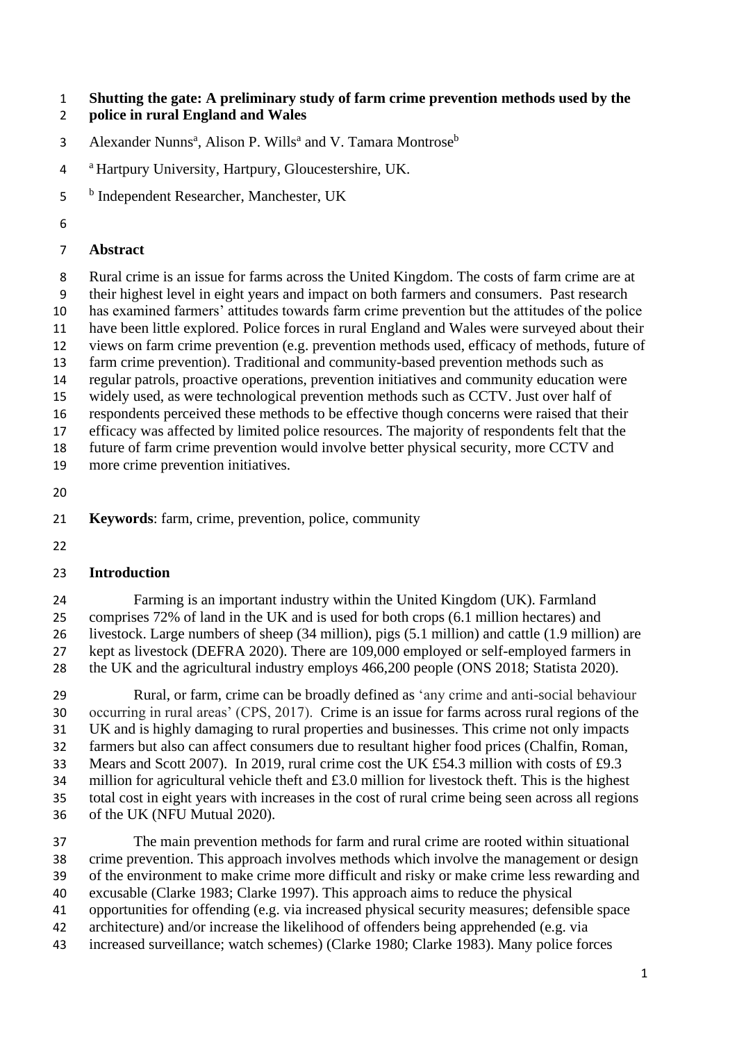**Shutting the gate: A preliminary study of farm crime prevention methods used by the** 

- **police in rural England and Wales**
- 3 Alexander Nunns<sup>a</sup>, Alison P. Wills<sup>a</sup> and V. Tamara Montrose<sup>b</sup>
- <sup>a</sup> Hartpury University, Hartpury, Gloucestershire, UK.
- 5 <sup>b</sup> Independent Researcher, Manchester, UK
- 

## **Abstract**

 Rural crime is an issue for farms across the United Kingdom. The costs of farm crime are at their highest level in eight years and impact on both farmers and consumers. Past research

has examined farmers' attitudes towards farm crime prevention but the attitudes of the police

have been little explored. Police forces in rural England and Wales were surveyed about their

views on farm crime prevention (e.g. prevention methods used, efficacy of methods, future of

- farm crime prevention). Traditional and community-based prevention methods such as
- regular patrols, proactive operations, prevention initiatives and community education were
- widely used, as were technological prevention methods such as CCTV. Just over half of

respondents perceived these methods to be effective though concerns were raised that their

 efficacy was affected by limited police resources. The majority of respondents felt that the future of farm crime prevention would involve better physical security, more CCTV and

- more crime prevention initiatives.
- 

**Keywords**: farm, crime, prevention, police, community

# **Introduction**

 Farming is an important industry within the United Kingdom (UK). Farmland comprises 72% of land in the UK and is used for both crops (6.1 million hectares) and livestock. Large numbers of sheep (34 million), pigs (5.1 million) and cattle (1.9 million) are kept as livestock (DEFRA 2020). There are 109,000 employed or self-employed farmers in the UK and the agricultural industry employs 466,200 people (ONS 2018; Statista 2020).

 Rural, or farm, crime can be broadly defined as 'any crime and anti-social behaviour occurring in rural areas' (CPS, 2017). Crime is an issue for farms across rural regions of the UK and is highly damaging to rural properties and businesses. This crime not only impacts farmers but also can affect consumers due to resultant higher food prices (Chalfin, Roman, Mears and Scott 2007). In 2019, rural crime cost the UK £54.3 million with costs of £9.3 million for agricultural vehicle theft and £3.0 million for livestock theft. This is the highest total cost in eight years with increases in the cost of rural crime being seen across all regions of the UK (NFU Mutual 2020).

 The main prevention methods for farm and rural crime are rooted within situational crime prevention. This approach involves methods which involve the management or design of the environment to make crime more difficult and risky or make crime less rewarding and excusable (Clarke 1983; Clarke 1997). This approach aims to reduce the physical opportunities for offending (e.g. via increased physical security measures; defensible space architecture) and/or increase the likelihood of offenders being apprehended (e.g. via increased surveillance; watch schemes) (Clarke 1980; Clarke 1983). Many police forces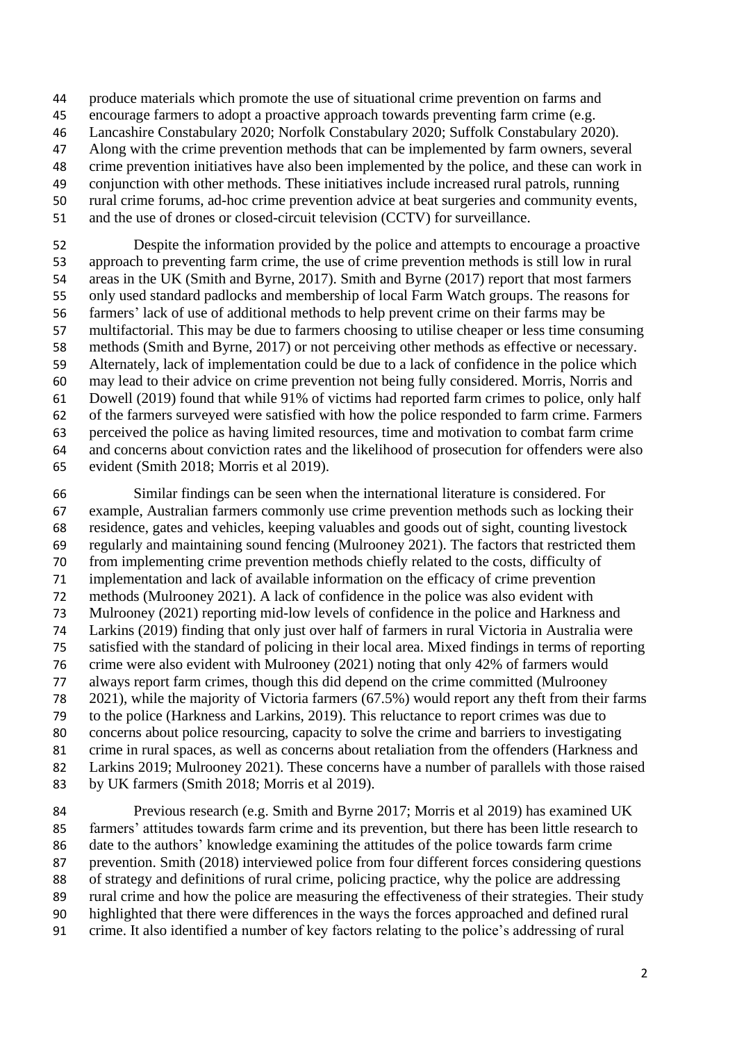produce materials which promote the use of situational crime prevention on farms and

- encourage farmers to adopt a proactive approach towards preventing farm crime (e.g.
- Lancashire Constabulary 2020; Norfolk Constabulary 2020; Suffolk Constabulary 2020).
- Along with the crime prevention methods that can be implemented by farm owners, several
- crime prevention initiatives have also been implemented by the police, and these can work in
- conjunction with other methods. These initiatives include increased rural patrols, running rural crime forums, ad-hoc crime prevention advice at beat surgeries and community events,
- and the use of drones or closed-circuit television (CCTV) for surveillance.

 Despite the information provided by the police and attempts to encourage a proactive approach to preventing farm crime, the use of crime prevention methods is still low in rural areas in the UK (Smith and Byrne, 2017). Smith and Byrne (2017) report that most farmers only used standard padlocks and membership of local Farm Watch groups. The reasons for farmers' lack of use of additional methods to help prevent crime on their farms may be multifactorial. This may be due to farmers choosing to utilise cheaper or less time consuming methods (Smith and Byrne, 2017) or not perceiving other methods as effective or necessary. Alternately, lack of implementation could be due to a lack of confidence in the police which may lead to their advice on crime prevention not being fully considered. Morris, Norris and Dowell (2019) found that while 91% of victims had reported farm crimes to police, only half of the farmers surveyed were satisfied with how the police responded to farm crime. Farmers perceived the police as having limited resources, time and motivation to combat farm crime and concerns about conviction rates and the likelihood of prosecution for offenders were also evident (Smith 2018; Morris et al 2019).

 Similar findings can be seen when the international literature is considered. For example, Australian farmers commonly use crime prevention methods such as locking their residence, gates and vehicles, keeping valuables and goods out of sight, counting livestock regularly and maintaining sound fencing (Mulrooney 2021). The factors that restricted them from implementing crime prevention methods chiefly related to the costs, difficulty of implementation and lack of available information on the efficacy of crime prevention methods (Mulrooney 2021). A lack of confidence in the police was also evident with Mulrooney (2021) reporting mid-low levels of confidence in the police and Harkness and Larkins (2019) finding that only just over half of farmers in rural Victoria in Australia were satisfied with the standard of policing in their local area. Mixed findings in terms of reporting crime were also evident with Mulrooney (2021) noting that only 42% of farmers would always report farm crimes, though this did depend on the crime committed (Mulrooney 2021), while the majority of Victoria farmers (67.5%) would report any theft from their farms to the police (Harkness and Larkins, 2019). This reluctance to report crimes was due to concerns about police resourcing, capacity to solve the crime and barriers to investigating crime in rural spaces, as well as concerns about retaliation from the offenders (Harkness and Larkins 2019; Mulrooney 2021). These concerns have a number of parallels with those raised by UK farmers (Smith 2018; Morris et al 2019).

 Previous research (e.g. Smith and Byrne 2017; Morris et al 2019) has examined UK farmers' attitudes towards farm crime and its prevention, but there has been little research to date to the authors' knowledge examining the attitudes of the police towards farm crime prevention. Smith (2018) interviewed police from four different forces considering questions of strategy and definitions of rural crime, policing practice, why the police are addressing rural crime and how the police are measuring the effectiveness of their strategies. Their study highlighted that there were differences in the ways the forces approached and defined rural crime. It also identified a number of key factors relating to the police's addressing of rural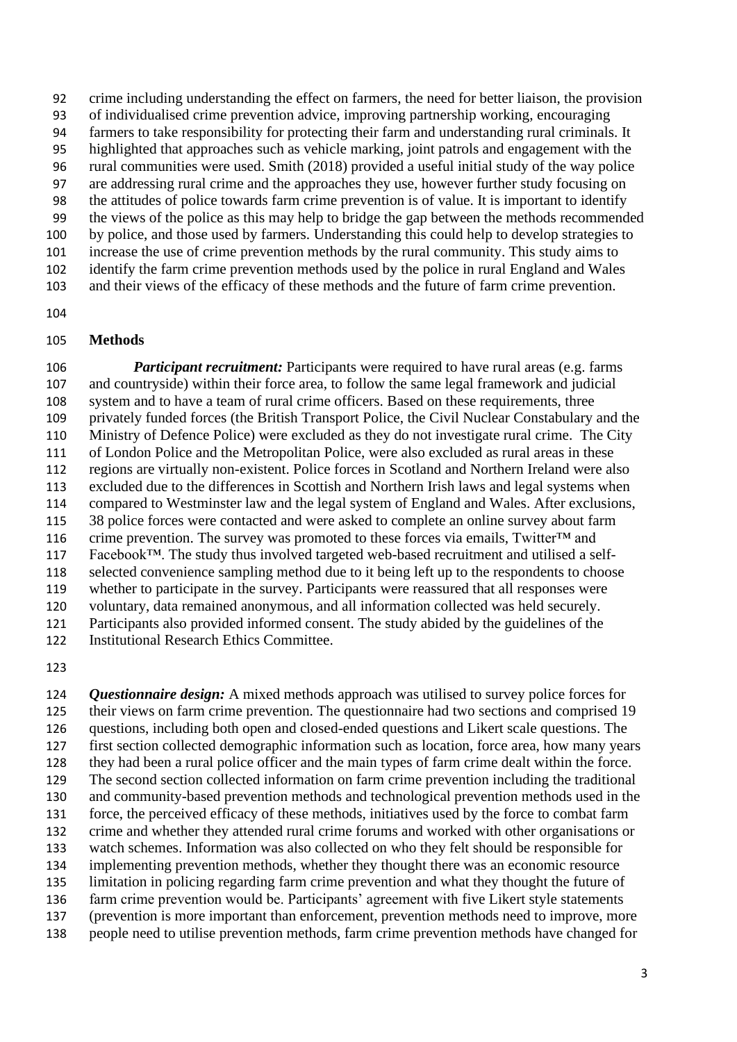crime including understanding the effect on farmers, the need for better liaison, the provision of individualised crime prevention advice, improving partnership working, encouraging farmers to take responsibility for protecting their farm and understanding rural criminals. It highlighted that approaches such as vehicle marking, joint patrols and engagement with the rural communities were used. Smith (2018) provided a useful initial study of the way police are addressing rural crime and the approaches they use, however further study focusing on the attitudes of police towards farm crime prevention is of value. It is important to identify the views of the police as this may help to bridge the gap between the methods recommended by police, and those used by farmers. Understanding this could help to develop strategies to increase the use of crime prevention methods by the rural community. This study aims to identify the farm crime prevention methods used by the police in rural England and Wales and their views of the efficacy of these methods and the future of farm crime prevention.

#### **Methods**

 *Participant recruitment:* Participants were required to have rural areas (e.g. farms and countryside) within their force area, to follow the same legal framework and judicial system and to have a team of rural crime officers. Based on these requirements, three privately funded forces (the British Transport Police, the Civil Nuclear Constabulary and the Ministry of Defence Police) were excluded as they do not investigate rural crime. The City of London Police and the Metropolitan Police, were also excluded as rural areas in these regions are virtually non-existent. Police forces in Scotland and Northern Ireland were also excluded due to the differences in Scottish and Northern Irish laws and legal systems when compared to Westminster law and the legal system of England and Wales. After exclusions, 38 police forces were contacted and were asked to complete an online survey about farm 116 crime prevention. The survey was promoted to these forces via emails, Twitter<sup>TM</sup> and Facebook™. The study thus involved targeted web-based recruitment and utilised a self- selected convenience sampling method due to it being left up to the respondents to choose whether to participate in the survey. Participants were reassured that all responses were voluntary, data remained anonymous, and all information collected was held securely. Participants also provided informed consent. The study abided by the guidelines of the Institutional Research Ethics Committee.

 *Questionnaire design:* A mixed methods approach was utilised to survey police forces for their views on farm crime prevention. The questionnaire had two sections and comprised 19 questions, including both open and closed-ended questions and Likert scale questions. The first section collected demographic information such as location, force area, how many years they had been a rural police officer and the main types of farm crime dealt within the force. The second section collected information on farm crime prevention including the traditional and community-based prevention methods and technological prevention methods used in the force, the perceived efficacy of these methods, initiatives used by the force to combat farm crime and whether they attended rural crime forums and worked with other organisations or watch schemes. Information was also collected on who they felt should be responsible for implementing prevention methods, whether they thought there was an economic resource limitation in policing regarding farm crime prevention and what they thought the future of farm crime prevention would be. Participants' agreement with five Likert style statements (prevention is more important than enforcement, prevention methods need to improve, more people need to utilise prevention methods, farm crime prevention methods have changed for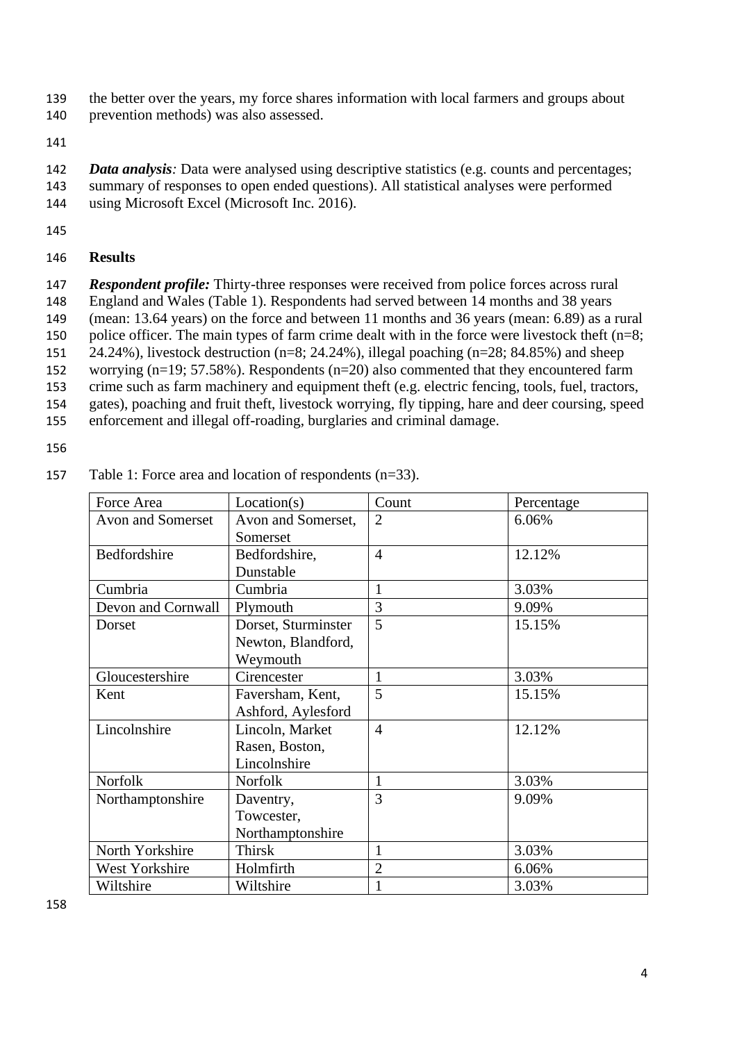- 139 the better over the years, my force shares information with local farmers and groups about
- 140 prevention methods) was also assessed.
- 141
- 142 *Data analysis:* Data were analysed using descriptive statistics (e.g. counts and percentages; 143 summary of responses to open ended questions). All statistical analyses were performed 144 using Microsoft Excel (Microsoft Inc. 2016).
- 145

## 146 **Results**

 *Respondent profile:* Thirty-three responses were received from police forces across rural England and Wales (Table 1). Respondents had served between 14 months and 38 years (mean: 13.64 years) on the force and between 11 months and 36 years (mean: 6.89) as a rural 150 police officer. The main types of farm crime dealt with in the force were livestock theft  $(n=8;$  24.24%), livestock destruction (n=8; 24.24%), illegal poaching (n=28; 84.85%) and sheep worrying (n=19; 57.58%). Respondents (n=20) also commented that they encountered farm crime such as farm machinery and equipment theft (e.g. electric fencing, tools, fuel, tractors, gates), poaching and fruit theft, livestock worrying, fly tipping, hare and deer coursing, speed

155 enforcement and illegal off-roading, burglaries and criminal damage.

156

| Force Area            | Location(s)                                           | Count          | Percentage<br>6.06% |  |
|-----------------------|-------------------------------------------------------|----------------|---------------------|--|
| Avon and Somerset     | Avon and Somerset,<br>Somerset                        | $\overline{2}$ |                     |  |
| Bedfordshire          | Bedfordshire,<br>Dunstable                            | $\overline{4}$ | 12.12%              |  |
| Cumbria               | Cumbria                                               | $\mathbf{1}$   | 3.03%               |  |
| Devon and Cornwall    | Plymouth                                              | 3              | 9.09%               |  |
| Dorset                | Dorset, Sturminster<br>Newton, Blandford,<br>Weymouth | 5              | 15.15%              |  |
| Gloucestershire       | Cirencester                                           | 1              | 3.03%               |  |
| Kent                  | Faversham, Kent,<br>Ashford, Aylesford                | 5              | 15.15%              |  |
| Lincolnshire          | Lincoln, Market<br>Rasen, Boston,<br>Lincolnshire     | $\overline{4}$ | 12.12%              |  |
| <b>Norfolk</b>        | <b>Norfolk</b>                                        | $\mathbf{1}$   | 3.03%               |  |
| Northamptonshire      | Daventry,<br>Towcester,<br>Northamptonshire           | $\overline{3}$ | 9.09%               |  |
| North Yorkshire       | <b>Thirsk</b>                                         | $\mathbf{1}$   | 3.03%               |  |
| <b>West Yorkshire</b> | Holmfirth                                             | $\overline{2}$ | 6.06%               |  |
| Wiltshire             | Wiltshire                                             |                | 3.03%               |  |

157 Table 1: Force area and location of respondents (n=33).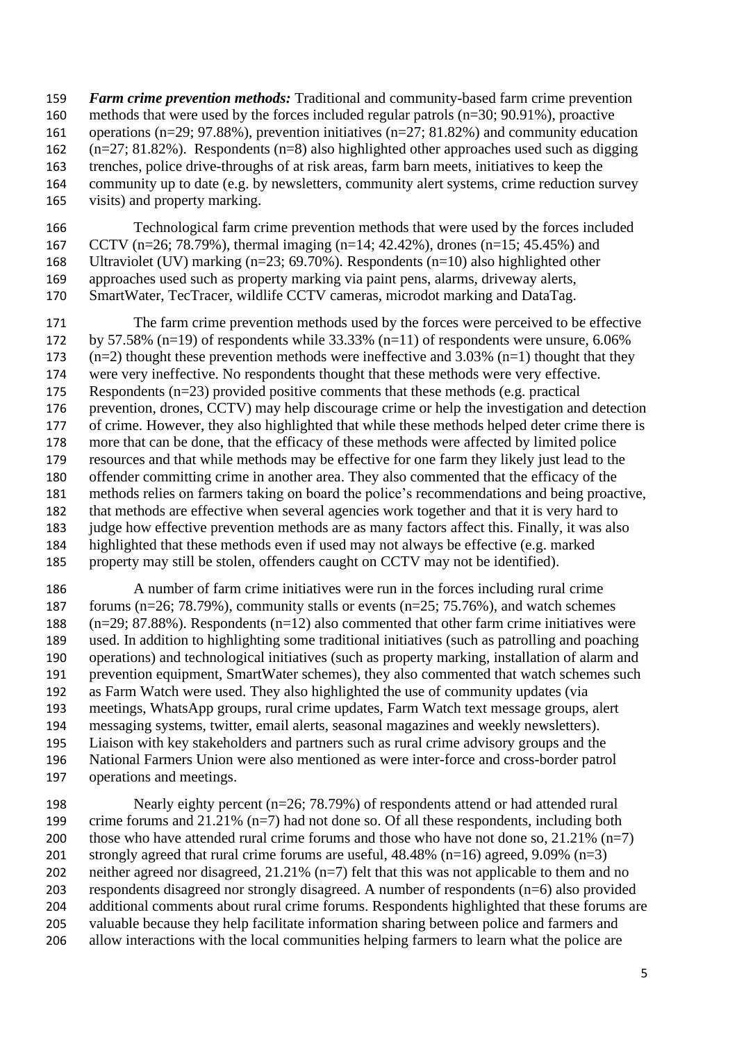*Farm crime prevention methods:* Traditional and community-based farm crime prevention methods that were used by the forces included regular patrols (n=30; 90.91%), proactive operations (n=29; 97.88%), prevention initiatives (n=27; 81.82%) and community education (n=27; 81.82%). Respondents (n=8) also highlighted other approaches used such as digging trenches, police drive-throughs of at risk areas, farm barn meets, initiatives to keep the community up to date (e.g. by newsletters, community alert systems, crime reduction survey visits) and property marking.

 Technological farm crime prevention methods that were used by the forces included CCTV (n=26; 78.79%), thermal imaging (n=14; 42.42%), drones (n=15; 45.45%) and Ultraviolet (UV) marking (n=23; 69.70%). Respondents (n=10) also highlighted other approaches used such as property marking via paint pens, alarms, driveway alerts, SmartWater, TecTracer, wildlife CCTV cameras, microdot marking and DataTag.

 The farm crime prevention methods used by the forces were perceived to be effective by 57.58% (n=19) of respondents while 33.33% (n=11) of respondents were unsure, 6.06% (n=2) thought these prevention methods were ineffective and 3.03% (n=1) thought that they were very ineffective. No respondents thought that these methods were very effective. Respondents (n=23) provided positive comments that these methods (e.g. practical prevention, drones, CCTV) may help discourage crime or help the investigation and detection of crime. However, they also highlighted that while these methods helped deter crime there is more that can be done, that the efficacy of these methods were affected by limited police resources and that while methods may be effective for one farm they likely just lead to the offender committing crime in another area. They also commented that the efficacy of the methods relies on farmers taking on board the police's recommendations and being proactive, that methods are effective when several agencies work together and that it is very hard to judge how effective prevention methods are as many factors affect this. Finally, it was also highlighted that these methods even if used may not always be effective (e.g. marked property may still be stolen, offenders caught on CCTV may not be identified).

 A number of farm crime initiatives were run in the forces including rural crime 187 forums ( $n=26$ ; 78.79%), community stalls or events ( $n=25$ ; 75.76%), and watch schemes (n=29; 87.88%). Respondents (n=12) also commented that other farm crime initiatives were used. In addition to highlighting some traditional initiatives (such as patrolling and poaching operations) and technological initiatives (such as property marking, installation of alarm and prevention equipment, SmartWater schemes), they also commented that watch schemes such as Farm Watch were used. They also highlighted the use of community updates (via meetings, WhatsApp groups, rural crime updates, Farm Watch text message groups, alert messaging systems, twitter, email alerts, seasonal magazines and weekly newsletters). Liaison with key stakeholders and partners such as rural crime advisory groups and the National Farmers Union were also mentioned as were inter-force and cross-border patrol operations and meetings.

 Nearly eighty percent (n=26; 78.79%) of respondents attend or had attended rural crime forums and 21.21% (n=7) had not done so. Of all these respondents, including both 200 those who have attended rural crime forums and those who have not done so,  $21.21\%$  (n=7) strongly agreed that rural crime forums are useful, 48.48% (n=16) agreed, 9.09% (n=3) neither agreed nor disagreed, 21.21% (n=7) felt that this was not applicable to them and no respondents disagreed nor strongly disagreed. A number of respondents (n=6) also provided additional comments about rural crime forums. Respondents highlighted that these forums are valuable because they help facilitate information sharing between police and farmers and allow interactions with the local communities helping farmers to learn what the police are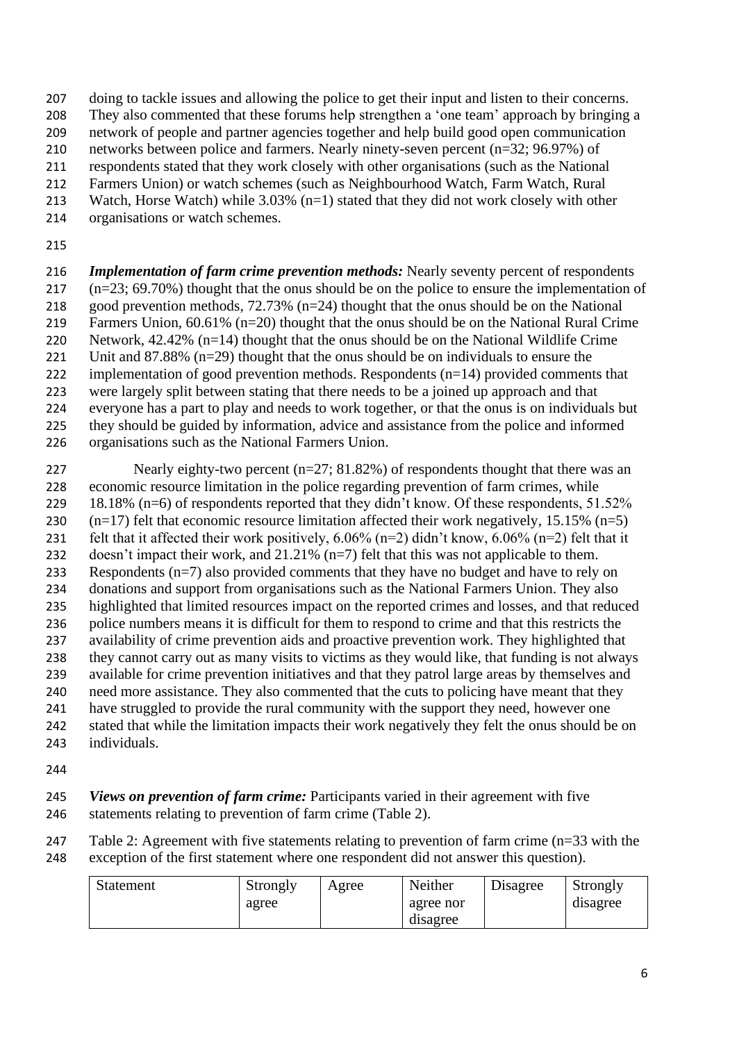- doing to tackle issues and allowing the police to get their input and listen to their concerns.
- They also commented that these forums help strengthen a 'one team' approach by bringing a
- network of people and partner agencies together and help build good open communication
- networks between police and farmers. Nearly ninety-seven percent (n=32; 96.97%) of
- respondents stated that they work closely with other organisations (such as the National
- Farmers Union) or watch schemes (such as Neighbourhood Watch, Farm Watch, Rural Watch, Horse Watch) while 3.03% (n=1) stated that they did not work closely with other
- organisations or watch schemes.
- 

 *Implementation of farm crime prevention methods:* Nearly seventy percent of respondents (n=23; 69.70%) thought that the onus should be on the police to ensure the implementation of good prevention methods, 72.73% (n=24) thought that the onus should be on the National Farmers Union, 60.61% (n=20) thought that the onus should be on the National Rural Crime Network, 42.42% (n=14) thought that the onus should be on the National Wildlife Crime 221 Unit and  $87.88\%$  (n=29) thought that the onus should be on individuals to ensure the implementation of good prevention methods. Respondents (n=14) provided comments that were largely split between stating that there needs to be a joined up approach and that everyone has a part to play and needs to work together, or that the onus is on individuals but they should be guided by information, advice and assistance from the police and informed

- organisations such as the National Farmers Union.
- 227 Nearly eighty-two percent (n=27; 81.82%) of respondents thought that there was an economic resource limitation in the police regarding prevention of farm crimes, while 229 18.18% (n=6) of respondents reported that they didn't know. Of these respondents, 51.52% 230  $(n=17)$  felt that economic resource limitation affected their work negatively, 15.15%  $(n=5)$ 231 felt that it affected their work positively,  $6.06\%$  (n=2) didn't know,  $6.06\%$  (n=2) felt that it doesn't impact their work, and 21.21% (n=7) felt that this was not applicable to them. Respondents (n=7) also provided comments that they have no budget and have to rely on donations and support from organisations such as the National Farmers Union. They also highlighted that limited resources impact on the reported crimes and losses, and that reduced police numbers means it is difficult for them to respond to crime and that this restricts the availability of crime prevention aids and proactive prevention work. They highlighted that they cannot carry out as many visits to victims as they would like, that funding is not always available for crime prevention initiatives and that they patrol large areas by themselves and need more assistance. They also commented that the cuts to policing have meant that they have struggled to provide the rural community with the support they need, however one stated that while the limitation impacts their work negatively they felt the onus should be on individuals.
- 

 *Views on prevention of farm crime:* Participants varied in their agreement with five 246 statements relating to prevention of farm crime (Table 2).

247 Table 2: Agreement with five statements relating to prevention of farm crime (n=33 with the exception of the first statement where one respondent did not answer this question).

| <b>Statement</b> | Strongly | Agree | Neither   | Disagree | Strongly |
|------------------|----------|-------|-----------|----------|----------|
|                  | agree    |       | agree nor |          | disagree |
|                  |          |       | disagree  |          |          |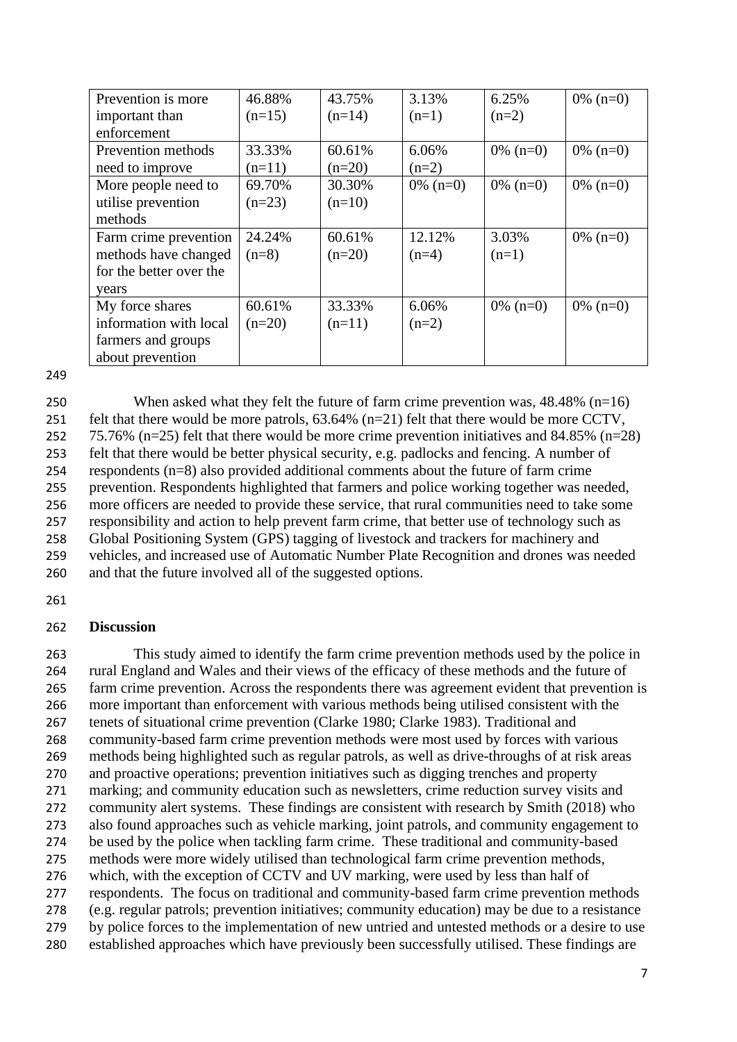| Prevention is more      | 46.88%   | 43.75%   | 3.13%       | 6.25%       | $0\%$ (n=0) |
|-------------------------|----------|----------|-------------|-------------|-------------|
| important than          | $(n=15)$ | $(n=14)$ | $(n=1)$     | $(n=2)$     |             |
| enforcement             |          |          |             |             |             |
| Prevention methods      | 33.33%   | 60.61%   | 6.06%       | $0\%$ (n=0) | $0\%$ (n=0) |
| need to improve         | $(n=11)$ | $(n=20)$ | $(n=2)$     |             |             |
| More people need to     | 69.70%   | 30.30%   | $0\%$ (n=0) | $0\%$ (n=0) | $0\%$ (n=0) |
| utilise prevention      | $(n=23)$ | $(n=10)$ |             |             |             |
| methods                 |          |          |             |             |             |
| Farm crime prevention   | 24.24%   | 60.61%   | 12.12%      | 3.03%       | $0\%$ (n=0) |
| methods have changed    | $(n=8)$  | $(n=20)$ | $(n=4)$     | $(n=1)$     |             |
| for the better over the |          |          |             |             |             |
| years                   |          |          |             |             |             |
| My force shares         | 60.61%   | 33.33%   | 6.06%       | $0\%$ (n=0) | $0\%$ (n=0) |
| information with local  | $(n=20)$ | $(n=11)$ | $(n=2)$     |             |             |
| farmers and groups      |          |          |             |             |             |
| about prevention        |          |          |             |             |             |

249

 When asked what they felt the future of farm crime prevention was, 48.48% (n=16) 251 felt that there would be more patrols,  $63.64\%$  (n=21) felt that there would be more CCTV, 75.76% (n=25) felt that there would be more crime prevention initiatives and 84.85% (n=28) felt that there would be better physical security, e.g. padlocks and fencing. A number of respondents (n=8) also provided additional comments about the future of farm crime prevention. Respondents highlighted that farmers and police working together was needed, more officers are needed to provide these service, that rural communities need to take some responsibility and action to help prevent farm crime, that better use of technology such as Global Positioning System (GPS) tagging of livestock and trackers for machinery and vehicles, and increased use of Automatic Number Plate Recognition and drones was needed and that the future involved all of the suggested options.

261

## 262 **Discussion**

 This study aimed to identify the farm crime prevention methods used by the police in rural England and Wales and their views of the efficacy of these methods and the future of farm crime prevention. Across the respondents there was agreement evident that prevention is more important than enforcement with various methods being utilised consistent with the tenets of situational crime prevention (Clarke 1980; Clarke 1983). Traditional and community-based farm crime prevention methods were most used by forces with various methods being highlighted such as regular patrols, as well as drive-throughs of at risk areas and proactive operations; prevention initiatives such as digging trenches and property marking; and community education such as newsletters, crime reduction survey visits and community alert systems. These findings are consistent with research by Smith (2018) who also found approaches such as vehicle marking, joint patrols, and community engagement to be used by the police when tackling farm crime. These traditional and community-based methods were more widely utilised than technological farm crime prevention methods, which, with the exception of CCTV and UV marking, were used by less than half of respondents. The focus on traditional and community-based farm crime prevention methods (e.g. regular patrols; prevention initiatives; community education) may be due to a resistance by police forces to the implementation of new untried and untested methods or a desire to use established approaches which have previously been successfully utilised. These findings are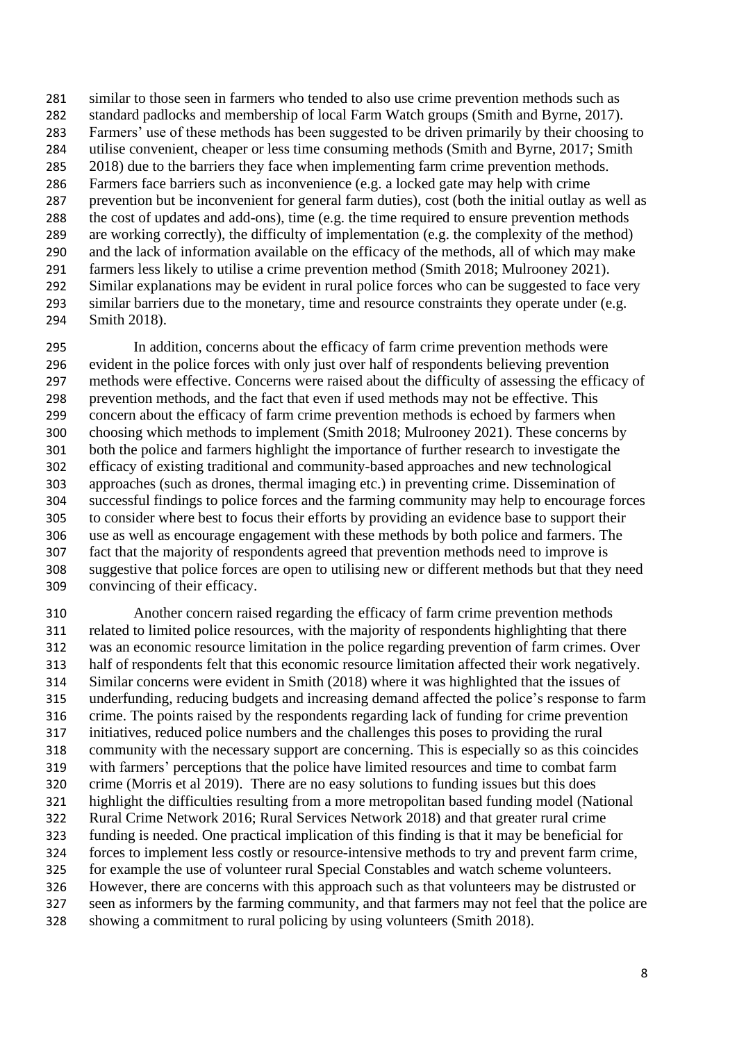similar to those seen in farmers who tended to also use crime prevention methods such as standard padlocks and membership of local Farm Watch groups (Smith and Byrne, 2017). Farmers' use of these methods has been suggested to be driven primarily by their choosing to utilise convenient, cheaper or less time consuming methods (Smith and Byrne, 2017; Smith 285 2018) due to the barriers they face when implementing farm crime prevention methods. Farmers face barriers such as inconvenience (e.g. a locked gate may help with crime prevention but be inconvenient for general farm duties), cost (both the initial outlay as well as the cost of updates and add-ons), time (e.g. the time required to ensure prevention methods are working correctly), the difficulty of implementation (e.g. the complexity of the method) and the lack of information available on the efficacy of the methods, all of which may make farmers less likely to utilise a crime prevention method (Smith 2018; Mulrooney 2021). Similar explanations may be evident in rural police forces who can be suggested to face very 293 similar barriers due to the monetary, time and resource constraints they operate under (e.g. Smith 2018).

 In addition, concerns about the efficacy of farm crime prevention methods were evident in the police forces with only just over half of respondents believing prevention methods were effective. Concerns were raised about the difficulty of assessing the efficacy of prevention methods, and the fact that even if used methods may not be effective. This concern about the efficacy of farm crime prevention methods is echoed by farmers when choosing which methods to implement (Smith 2018; Mulrooney 2021). These concerns by both the police and farmers highlight the importance of further research to investigate the efficacy of existing traditional and community-based approaches and new technological approaches (such as drones, thermal imaging etc.) in preventing crime. Dissemination of successful findings to police forces and the farming community may help to encourage forces to consider where best to focus their efforts by providing an evidence base to support their use as well as encourage engagement with these methods by both police and farmers. The fact that the majority of respondents agreed that prevention methods need to improve is suggestive that police forces are open to utilising new or different methods but that they need convincing of their efficacy.

 Another concern raised regarding the efficacy of farm crime prevention methods related to limited police resources, with the majority of respondents highlighting that there was an economic resource limitation in the police regarding prevention of farm crimes. Over half of respondents felt that this economic resource limitation affected their work negatively. Similar concerns were evident in Smith (2018) where it was highlighted that the issues of underfunding, reducing budgets and increasing demand affected the police's response to farm crime. The points raised by the respondents regarding lack of funding for crime prevention initiatives, reduced police numbers and the challenges this poses to providing the rural community with the necessary support are concerning. This is especially so as this coincides with farmers' perceptions that the police have limited resources and time to combat farm crime (Morris et al 2019). There are no easy solutions to funding issues but this does highlight the difficulties resulting from a more metropolitan based funding model (National Rural Crime Network 2016; Rural Services Network 2018) and that greater rural crime funding is needed. One practical implication of this finding is that it may be beneficial for forces to implement less costly or resource-intensive methods to try and prevent farm crime, for example the use of volunteer rural Special Constables and watch scheme volunteers. However, there are concerns with this approach such as that volunteers may be distrusted or seen as informers by the farming community, and that farmers may not feel that the police are showing a commitment to rural policing by using volunteers (Smith 2018).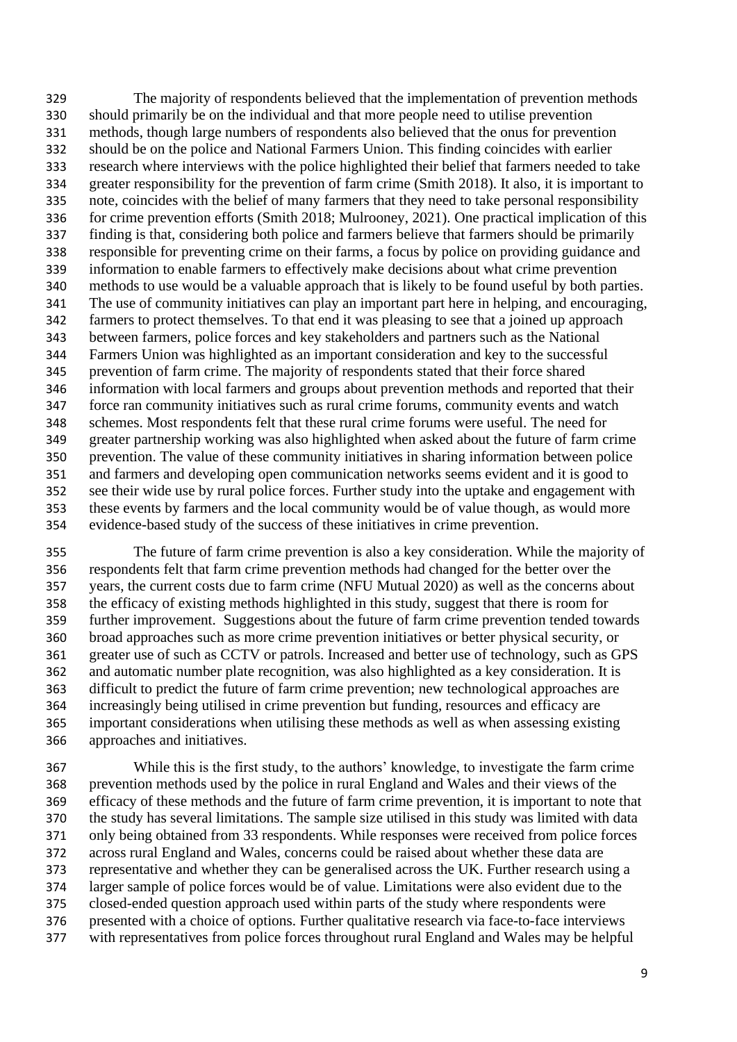The majority of respondents believed that the implementation of prevention methods should primarily be on the individual and that more people need to utilise prevention methods, though large numbers of respondents also believed that the onus for prevention should be on the police and National Farmers Union. This finding coincides with earlier research where interviews with the police highlighted their belief that farmers needed to take greater responsibility for the prevention of farm crime (Smith 2018). It also, it is important to note, coincides with the belief of many farmers that they need to take personal responsibility for crime prevention efforts (Smith 2018; Mulrooney, 2021). One practical implication of this finding is that, considering both police and farmers believe that farmers should be primarily responsible for preventing crime on their farms, a focus by police on providing guidance and information to enable farmers to effectively make decisions about what crime prevention methods to use would be a valuable approach that is likely to be found useful by both parties. The use of community initiatives can play an important part here in helping, and encouraging, farmers to protect themselves. To that end it was pleasing to see that a joined up approach between farmers, police forces and key stakeholders and partners such as the National Farmers Union was highlighted as an important consideration and key to the successful prevention of farm crime. The majority of respondents stated that their force shared information with local farmers and groups about prevention methods and reported that their force ran community initiatives such as rural crime forums, community events and watch schemes. Most respondents felt that these rural crime forums were useful. The need for greater partnership working was also highlighted when asked about the future of farm crime prevention. The value of these community initiatives in sharing information between police and farmers and developing open communication networks seems evident and it is good to see their wide use by rural police forces. Further study into the uptake and engagement with these events by farmers and the local community would be of value though, as would more evidence-based study of the success of these initiatives in crime prevention.

 The future of farm crime prevention is also a key consideration. While the majority of respondents felt that farm crime prevention methods had changed for the better over the years, the current costs due to farm crime (NFU Mutual 2020) as well as the concerns about the efficacy of existing methods highlighted in this study, suggest that there is room for further improvement. Suggestions about the future of farm crime prevention tended towards broad approaches such as more crime prevention initiatives or better physical security, or greater use of such as CCTV or patrols. Increased and better use of technology, such as GPS and automatic number plate recognition, was also highlighted as a key consideration. It is difficult to predict the future of farm crime prevention; new technological approaches are increasingly being utilised in crime prevention but funding, resources and efficacy are important considerations when utilising these methods as well as when assessing existing approaches and initiatives.

 While this is the first study, to the authors' knowledge, to investigate the farm crime prevention methods used by the police in rural England and Wales and their views of the efficacy of these methods and the future of farm crime prevention, it is important to note that the study has several limitations. The sample size utilised in this study was limited with data only being obtained from 33 respondents. While responses were received from police forces across rural England and Wales, concerns could be raised about whether these data are representative and whether they can be generalised across the UK. Further research using a larger sample of police forces would be of value. Limitations were also evident due to the closed-ended question approach used within parts of the study where respondents were presented with a choice of options. Further qualitative research via face-to-face interviews with representatives from police forces throughout rural England and Wales may be helpful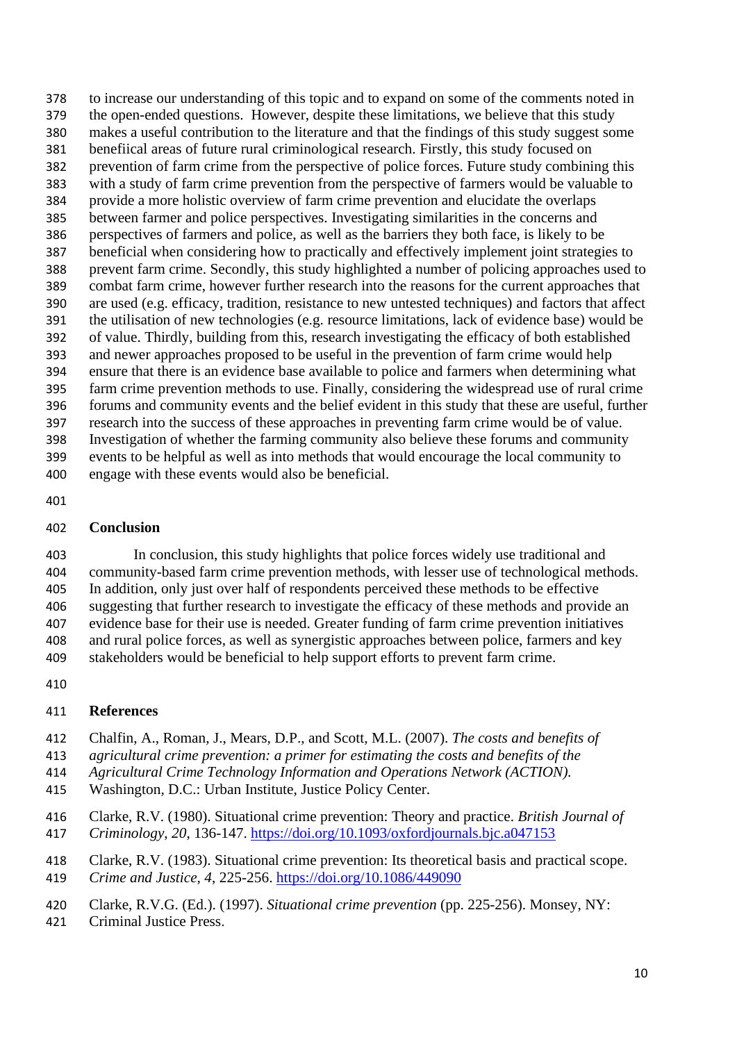to increase our understanding of this topic and to expand on some of the comments noted in the open-ended questions. However, despite these limitations, we believe that this study makes a useful contribution to the literature and that the findings of this study suggest some benefiical areas of future rural criminological research. Firstly, this study focused on prevention of farm crime from the perspective of police forces. Future study combining this with a study of farm crime prevention from the perspective of farmers would be valuable to provide a more holistic overview of farm crime prevention and elucidate the overlaps between farmer and police perspectives. Investigating similarities in the concerns and perspectives of farmers and police, as well as the barriers they both face, is likely to be beneficial when considering how to practically and effectively implement joint strategies to prevent farm crime. Secondly, this study highlighted a number of policing approaches used to combat farm crime, however further research into the reasons for the current approaches that are used (e.g. efficacy, tradition, resistance to new untested techniques) and factors that affect the utilisation of new technologies (e.g. resource limitations, lack of evidence base) would be of value. Thirdly, building from this, research investigating the efficacy of both established and newer approaches proposed to be useful in the prevention of farm crime would help ensure that there is an evidence base available to police and farmers when determining what farm crime prevention methods to use. Finally, considering the widespread use of rural crime forums and community events and the belief evident in this study that these are useful, further research into the success of these approaches in preventing farm crime would be of value. Investigation of whether the farming community also believe these forums and community events to be helpful as well as into methods that would encourage the local community to engage with these events would also be beneficial.

### **Conclusion**

 In conclusion, this study highlights that police forces widely use traditional and community-based farm crime prevention methods, with lesser use of technological methods. In addition, only just over half of respondents perceived these methods to be effective suggesting that further research to investigate the efficacy of these methods and provide an evidence base for their use is needed. Greater funding of farm crime prevention initiatives and rural police forces, as well as synergistic approaches between police, farmers and key stakeholders would be beneficial to help support efforts to prevent farm crime.

#### **References**

- Chalfin, A., Roman, J., Mears, D.P., and Scott, M.L. (2007). *The costs and benefits of*
- *agricultural crime prevention: a primer for estimating the costs and benefits of the*
- *Agricultural Crime Technology Information and Operations Network (ACTION).*
- Washington, D.C.: Urban Institute, Justice Policy Center.
- Clarke, R.V. (1980). Situational crime prevention: Theory and practice. *British Journal of*
- *Criminology*, *20*, 136-147. <https://doi.org/10.1093/oxfordjournals.bjc.a047153>
- Clarke, R.V. (1983). Situational crime prevention: Its theoretical basis and practical scope.
- *Crime and Justice*, *4*, 225-256. <https://doi.org/10.1086/449090>
- Clarke, R.V.G. (Ed.). (1997). *Situational crime prevention* (pp. 225-256). Monsey, NY:
- Criminal Justice Press.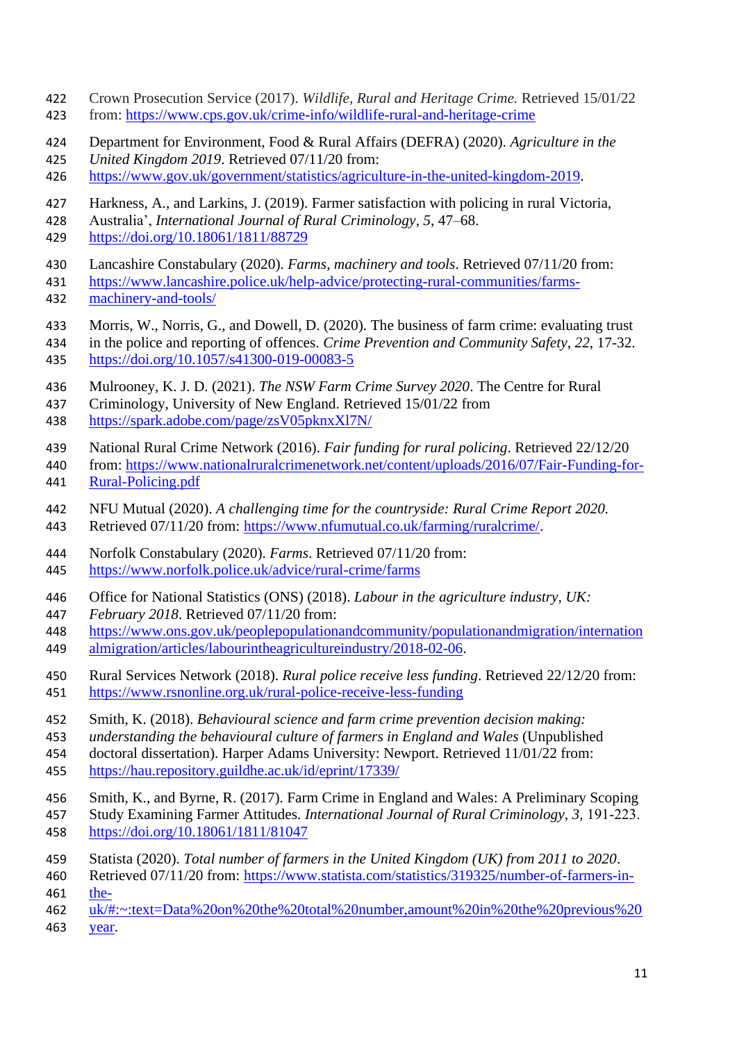- Crown Prosecution Service (2017). *Wildlife, Rural and Heritage Crime.* Retrieved 15/01/22 from:<https://www.cps.gov.uk/crime-info/wildlife-rural-and-heritage-crime>
- Department for Environment, Food & Rural Affairs (DEFRA) (2020). *Agriculture in the*
- *United Kingdom 2019*. Retrieved 07/11/20 from:
- [https://www.gov.uk/government/statistics/agriculture-in-the-united-kingdom-2019.](https://www.gov.uk/government/statistics/agriculture-in-the-united-kingdom-2019)
- Harkness, A., and Larkins, J. (2019). Farmer satisfaction with policing in rural Victoria,
- Australia', *International Journal of Rural Criminology*, *5*, 47–68.
- <https://doi.org/10.18061/1811/88729>
- Lancashire Constabulary (2020). *Farms, machinery and tools*. Retrieved 07/11/20 from:
- [https://www.lancashire.police.uk/help-advice/protecting-rural-communities/farms-](https://www.lancashire.police.uk/help-advice/protecting-rural-communities/farms-machinery-and-tools/)[machinery-and-tools/](https://www.lancashire.police.uk/help-advice/protecting-rural-communities/farms-machinery-and-tools/)
- Morris, W., Norris, G., and Dowell, D. (2020). The business of farm crime: evaluating trust
- in the police and reporting of offences. *Crime Prevention and Community Safety*, *22*, 17-32. <https://doi.org/10.1057/s41300-019-00083-5>
- Mulrooney, K. J. D. (2021). *The NSW Farm Crime Survey 2020*. The Centre for Rural
- Criminology, University of New England. Retrieved 15/01/22 from
- <https://spark.adobe.com/page/zsV05pknxXl7N/>
- National Rural Crime Network (2016). *Fair funding for rural policing*. Retrieved 22/12/20
- from: [https://www.nationalruralcrimenetwork.net/content/uploads/2016/07/Fair-Funding-for-](https://www.nationalruralcrimenetwork.net/content/uploads/2016/07/Fair-Funding-for-Rural-Policing.pdf)[Rural-Policing.pdf](https://www.nationalruralcrimenetwork.net/content/uploads/2016/07/Fair-Funding-for-Rural-Policing.pdf)
- NFU Mutual (2020). *A challenging time for the countryside: Rural Crime Report 2020.*
- Retrieved 07/11/20 from: [https://www.nfumutual.co.uk/farming/ruralcrime/.](https://www.nfumutual.co.uk/farming/ruralcrime/)
- Norfolk Constabulary (2020). *Farms*. Retrieved 07/11/20 from:
- <https://www.norfolk.police.uk/advice/rural-crime/farms>
- Office for National Statistics (ONS) (2018). *Labour in the agriculture industry, UK:*
- *February 2018*. Retrieved 07/11/20 from:
- [https://www.ons.gov.uk/peoplepopulationandcommunity/populationandmigration/internation](https://www.ons.gov.uk/peoplepopulationandcommunity/populationandmigration/internationalmigration/articles/labourintheagricultureindustry/2018-02-06) [almigration/articles/labourintheagricultureindustry/2018-02-06.](https://www.ons.gov.uk/peoplepopulationandcommunity/populationandmigration/internationalmigration/articles/labourintheagricultureindustry/2018-02-06)
- Rural Services Network (2018). *Rural police receive less funding*. Retrieved 22/12/20 from: <https://www.rsnonline.org.uk/rural-police-receive-less-funding>
- Smith, K. (2018). *Behavioural science and farm crime prevention decision making:*
- *understanding the behavioural culture of farmers in England and Wales* (Unpublished
- doctoral dissertation). Harper Adams University: Newport. Retrieved 11/01/22 from:
- <https://hau.repository.guildhe.ac.uk/id/eprint/17339/>
- Smith, K., and Byrne, R. (2017). Farm Crime in England and Wales: A Preliminary Scoping Study Examining Farmer Attitudes. *International Journal of Rural Criminology*, *3*, 191‐223.
- <https://doi.org/10.18061/1811/81047>
- Statista (2020). *Total number of farmers in the United Kingdom (UK) from 2011 to 2020*.
- Retrieved 07/11/20 from: [https://www.statista.com/statistics/319325/number-of-farmers-in-](https://www.statista.com/statistics/319325/number-of-farmers-in-the-uk/#:~:text=Data%20on%20the%20total%20number,amount%20in%20the%20previous%20year)
- [the-](https://www.statista.com/statistics/319325/number-of-farmers-in-the-uk/#:~:text=Data%20on%20the%20total%20number,amount%20in%20the%20previous%20year)
- [uk/#:~:text=Data%20on%20the%20total%20number,amount%20in%20the%20previous%20](https://www.statista.com/statistics/319325/number-of-farmers-in-the-uk/#:~:text=Data%20on%20the%20total%20number,amount%20in%20the%20previous%20year)
- [year.](https://www.statista.com/statistics/319325/number-of-farmers-in-the-uk/#:~:text=Data%20on%20the%20total%20number,amount%20in%20the%20previous%20year)